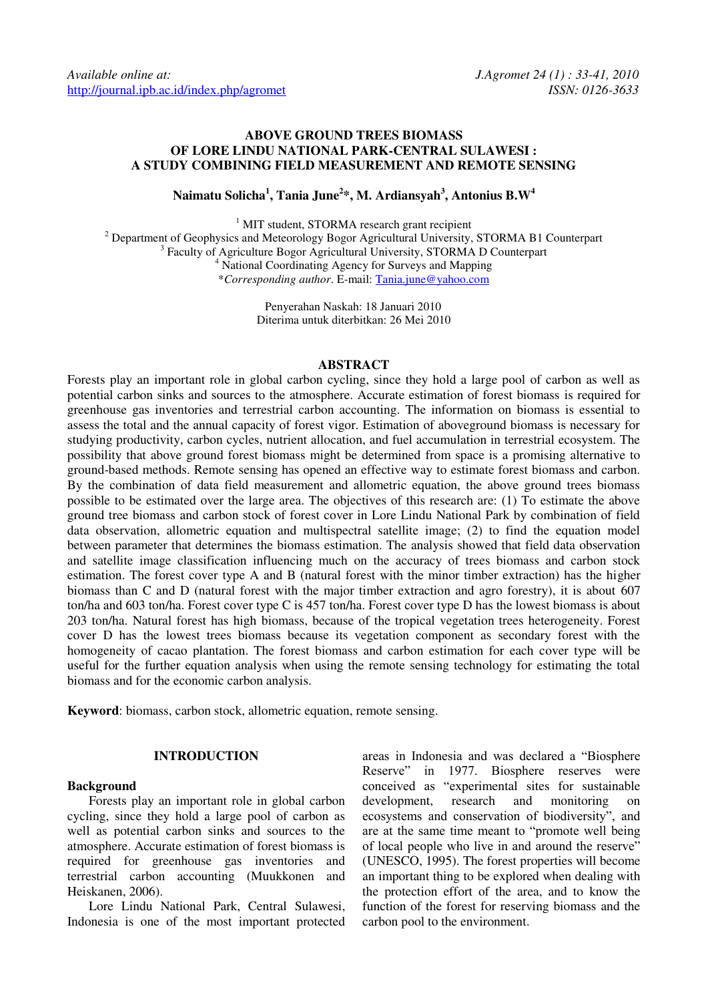# **ABOVE GROUND TREES BIOMASS OF LORE LINDU NATIONAL PARK-CENTRAL SULAWESI : A STUDY COMBINING FIELD MEASUREMENT AND REMOTE SENSING**

**Naimatu Solicha<sup>1</sup> , Tania June<sup>2</sup> \*, M. Ardiansyah<sup>3</sup> , Antonius B.W<sup>4</sup>**

<sup>1</sup> MIT student, STORMA research grant recipient <sup>2</sup> Department of Geophysics and Meteorology Bogor Agricultural University, STORMA B1 Counterpart <sup>3</sup> Faculty of Agriculture Bogor Agricultural University, STORMA D Counterpart 4 National Coordinating Agency for Surveys and Mapping \**Corresponding author*. E-mail: [Tania.june@yahoo.com](mailto:Tania.june@yahoo.com)

> Penyerahan Naskah: 18 Januari 2010 Diterima untuk diterbitkan: 26 Mei 2010

# **ABSTRACT**

Forests play an important role in global carbon cycling, since they hold a large pool of carbon as well as potential carbon sinks and sources to the atmosphere. Accurate estimation of forest biomass is required for greenhouse gas inventories and terrestrial carbon accounting. The information on biomass is essential to assess the total and the annual capacity of forest vigor. Estimation of aboveground biomass is necessary for studying productivity, carbon cycles, nutrient allocation, and fuel accumulation in terrestrial ecosystem. The possibility that above ground forest biomass might be determined from space is a promising alternative to ground-based methods. Remote sensing has opened an effective way to estimate forest biomass and carbon. By the combination of data field measurement and allometric equation, the above ground trees biomass possible to be estimated over the large area. The objectives of this research are: (1) To estimate the above ground tree biomass and carbon stock of forest cover in Lore Lindu National Park by combination of field data observation, allometric equation and multispectral satellite image; (2) to find the equation model between parameter that determines the biomass estimation. The analysis showed that field data observation and satellite image classification influencing much on the accuracy of trees biomass and carbon stock estimation. The forest cover type A and B (natural forest with the minor timber extraction) has the higher biomass than C and D (natural forest with the major timber extraction and agro forestry), it is about 607 ton/ha and 603 ton/ha. Forest cover type C is 457 ton/ha. Forest cover type D has the lowest biomass is about 203 ton/ha. Natural forest has high biomass, because of the tropical vegetation trees heterogeneity. Forest cover D has the lowest trees biomass because its vegetation component as secondary forest with the homogeneity of cacao plantation. The forest biomass and carbon estimation for each cover type will be useful for the further equation analysis when using the remote sensing technology for estimating the total biomass and for the economic carbon analysis.

**Keyword**: biomass, carbon stock, allometric equation, remote sensing.

### **INTRODUCTION**

### **Background**

Forests play an important role in global carbon cycling, since they hold a large pool of carbon as well as potential carbon sinks and sources to the atmosphere. Accurate estimation of forest biomass is required for greenhouse gas inventories and terrestrial carbon accounting (Muukkonen and Heiskanen, 2006).

Lore Lindu National Park, Central Sulawesi, Indonesia is one of the most important protected areas in Indonesia and was declared a "Biosphere Reserve" in 1977. Biosphere reserves were conceived as "experimental sites for sustainable development, research and monitoring on ecosystems and conservation of biodiversity", and are at the same time meant to "promote well being of local people who live in and around the reserve" (UNESCO, 1995). The forest properties will become an important thing to be explored when dealing with the protection effort of the area, and to know the function of the forest for reserving biomass and the carbon pool to the environment.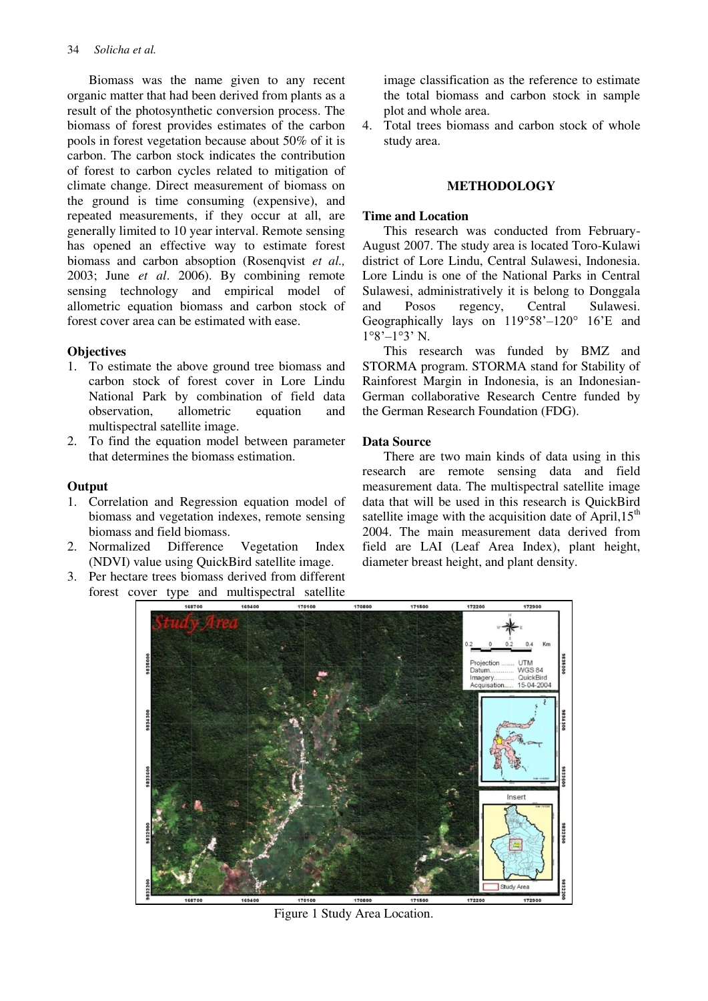Biomass was the name given to any recent organic matter that had been derived from plants as a result of the photosynthetic conversion process. The biomass of forest provides estimates of the carbon pools in forest vegetation because about 50% of it is carbon. The carbon stock indicates the contribution of forest to carbon cycles related to mitigation of climate change. Direct measurement of biomass on the ground is time consuming (expensive), and repeated measurements, if they occur at all, are generally limited to 10 year interval. Remote sensing has opened an effective way to estimate forest biomass and carbon absoption (Rosenqvist *et al.,* 2003; June *et al*. 2006). By combining remote sensing technology and empirical model of allometric equation biomass and carbon stock of forest cover area can be estimated with ease.

# **Objectives**

- 1. To estimate the above ground tree biomass and carbon stock of forest cover in Lore Lindu National Park by combination of field data observation, allometric equation and multispectral satellite image.
- 2. To find the equation model between parameter that determines the biomass estimation.

# **Output**

- 1. Correlation and Regression equation model of biomass and vegetation indexes, remote sensing biomass and field biomass.
- 2. Normalized Difference Vegetation Index (NDVI) value using QuickBird satellite image.
- 3. Per hectare trees biomass derived from different forest cover type and multispectral satellite

image classification as the reference to estimate the total biomass and carbon stock in sample plot and whole area.

4. Total trees biomass and carbon stock of whole study area.

# **METHODOLOGY**

# **Time and Location**

This research was conducted from February-August 2007. The study area is located Toro-Kulawi district of Lore Lindu, Central Sulawesi, Indonesia. Lore Lindu is one of the National Parks in Central Sulawesi, administratively it is belong to Donggala and Posos regency, Central Sulawesi. Geographically lays on 119°58"–120° 16"E and  $1°8'$ – $1°3'$  N.

This research was funded by BMZ and STORMA program. STORMA stand for Stability of Rainforest Margin in Indonesia, is an Indonesian-German collaborative Research Centre funded by the German Research Foundation (FDG).

# **Data Source**

There are two main kinds of data using in this research are remote sensing data and field measurement data. The multispectral satellite image data that will be used in this research is QuickBird satellite image with the acquisition date of April,  $15<sup>th</sup>$ 2004. The main measurement data derived from field are LAI (Leaf Area Index), plant height, diameter breast height, and plant density.



Figure 1 Study Area Location.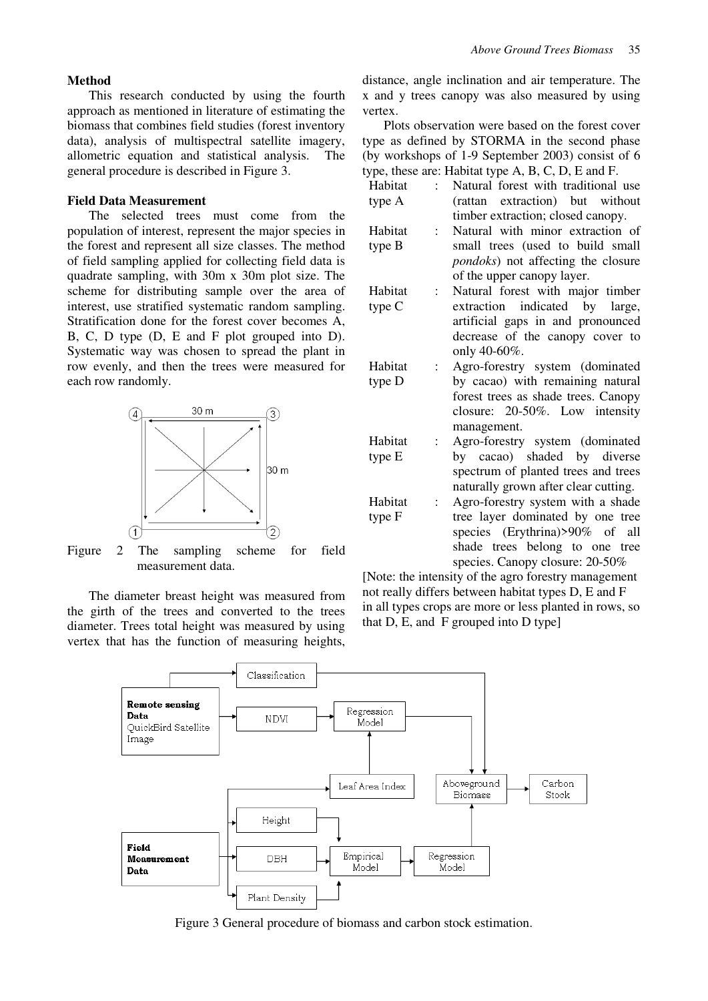#### **Method**

This research conducted by using the fourth approach as mentioned in literature of estimating the biomass that combines field studies (forest inventory data), analysis of multispectral satellite imagery, allometric equation and statistical analysis. The general procedure is described in Figure 3.

## **Field Data Measurement**

The selected trees must come from the population of interest, represent the major species in the forest and represent all size classes. The method of field sampling applied for collecting field data is quadrate sampling, with 30m x 30m plot size. The scheme for distributing sample over the area of interest, use stratified systematic random sampling. Stratification done for the forest cover becomes A, B, C, D type (D, E and F plot grouped into D). Systematic way was chosen to spread the plant in row evenly, and then the trees were measured for each row randomly.



Figure 2 The sampling scheme for field measurement data.

The diameter breast height was measured from the girth of the trees and converted to the trees diameter. Trees total height was measured by using vertex that has the function of measuring heights, distance, angle inclination and air temperature. The x and y trees canopy was also measured by using vertex.

Plots observation were based on the forest cover type as defined by STORMA in the second phase (by workshops of 1-9 September 2003) consist of 6 type, these are: Hebitat type  $A$ ,  $B$ ,  $C$ ,  $D$ , E and E.

|         |                           | type, these are: Habitat type $A$ , $D$ , $C$ , $D$ , $E$ and $\Gamma$ .  |
|---------|---------------------------|---------------------------------------------------------------------------|
| Habitat |                           | Natural forest with traditional use                                       |
| type A  |                           | (rattan extraction) but without                                           |
|         |                           | timber extraction; closed canopy.                                         |
| Habitat | $\mathbb{R}^{\mathbb{Z}}$ | Natural with minor extraction of                                          |
| type B  |                           | small trees (used to build small                                          |
|         |                           | <i>pondoks</i> ) not affecting the closure                                |
|         |                           | of the upper canopy layer.                                                |
| Habitat | $\mathbf{L}$              | Natural forest with major timber                                          |
| type C  |                           | extraction indicated by large,                                            |
|         |                           | artificial gaps in and pronounced                                         |
|         |                           | decrease of the canopy cover to                                           |
|         |                           | only 40-60%.                                                              |
| Habitat | $\mathbf{L}$              | Agro-forestry system (dominated                                           |
| type D  |                           | by cacao) with remaining natural                                          |
|         |                           | forest trees as shade trees. Canopy                                       |
|         |                           | closure: 20-50%. Low intensity                                            |
|         |                           | management.                                                               |
| Habitat | $\vdots$                  | Agro-forestry system (dominated                                           |
| type E  |                           | by cacao) shaded by diverse                                               |
|         |                           | spectrum of planted trees and trees                                       |
| Habitat |                           | naturally grown after clear cutting.<br>Agro-forestry system with a shade |
|         | $\ddot{\phantom{a}}$      |                                                                           |
| type F  |                           | tree layer dominated by one tree<br>species (Erythrina)>90% of all        |
|         |                           | shade trees belong to one tree                                            |
|         |                           |                                                                           |

species. Canopy closure: 20-50% [Note: the intensity of the agro forestry management not really differs between habitat types D, E and F in all types crops are more or less planted in rows, so that D, E, and F grouped into D type]



Figure 3 General procedure of biomass and carbon stock estimation.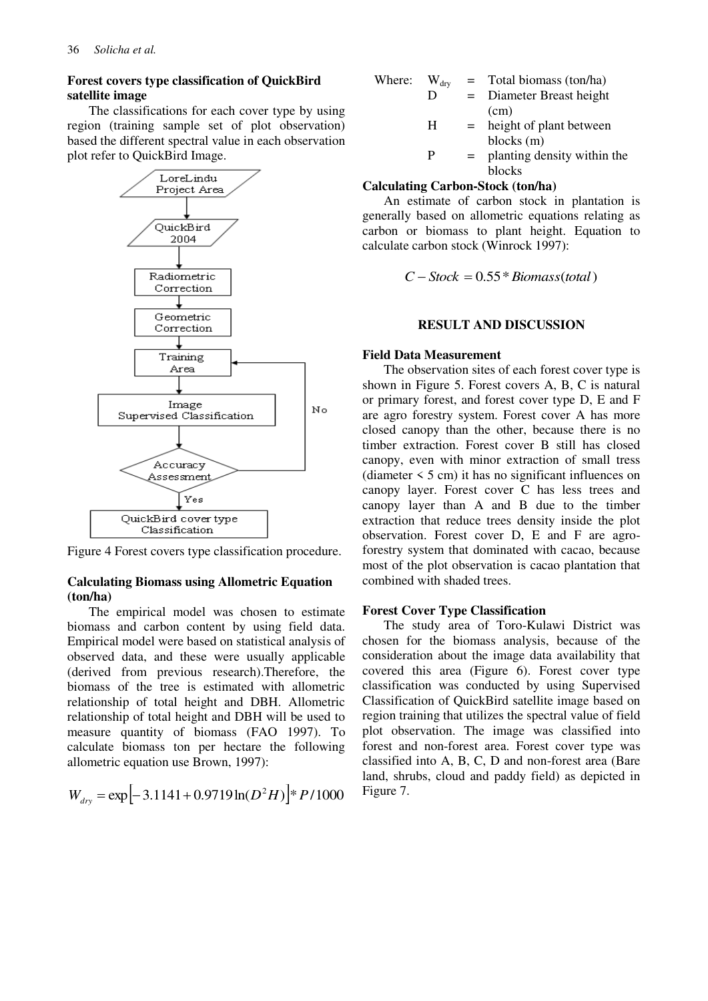## **Forest covers type classification of QuickBird satellite image**

The classifications for each cover type by using region (training sample set of plot observation) based the different spectral value in each observation plot refer to QuickBird Image.



Figure 4 Forest covers type classification procedure.

## **Calculating Biomass using Allometric Equation (ton/ha)**

The empirical model was chosen to estimate biomass and carbon content by using field data. Empirical model were based on statistical analysis of observed data, and these were usually applicable (derived from previous research).Therefore, the biomass of the tree is estimated with allometric relationship of total height and DBH. Allometric relationship of total height and DBH will be used to measure quantity of biomass (FAO 1997). To calculate biomass ton per hectare the following allometric equation use Brown, 1997):

$$
W_{\text{dry}} = \exp \left[ -3.1141 + 0.9719 \ln(D^2 H) \right] * P / 1000
$$

| Where: | $W_{\text{dry}}$ |     | $=$ Total biomass (ton/ha)  |
|--------|------------------|-----|-----------------------------|
|        | D                | $=$ | Diameter Breast height      |
|        |                  |     | (cm)                        |
|        | н                | $=$ | height of plant between     |
|        |                  |     | blocks (m)                  |
|        | P                | $=$ | planting density within the |

blocks

### **Calculating Carbon-Stock (ton/ha)**

An estimate of carbon stock in plantation is generally based on allometric equations relating as carbon or biomass to plant height. Equation to calculate carbon stock (Winrock 1997):

 $C - Stock = 0.55 * *Biomass*(*total*)$ 

### **RESULT AND DISCUSSION**

#### **Field Data Measurement**

The observation sites of each forest cover type is shown in Figure 5. Forest covers A, B, C is natural or primary forest, and forest cover type D, E and F are agro forestry system. Forest cover A has more closed canopy than the other, because there is no timber extraction. Forest cover B still has closed canopy, even with minor extraction of small tress (diameter  $\leq 5$  cm) it has no significant influences on canopy layer. Forest cover C has less trees and canopy layer than A and B due to the timber extraction that reduce trees density inside the plot observation. Forest cover D, E and F are agroforestry system that dominated with cacao, because most of the plot observation is cacao plantation that combined with shaded trees.

#### **Forest Cover Type Classification**

The study area of Toro-Kulawi District was chosen for the biomass analysis, because of the consideration about the image data availability that covered this area (Figure 6). Forest cover type classification was conducted by using Supervised Classification of QuickBird satellite image based on region training that utilizes the spectral value of field plot observation. The image was classified into forest and non-forest area. Forest cover type was classified into A, B, C, D and non-forest area (Bare land, shrubs, cloud and paddy field) as depicted in Figure 7.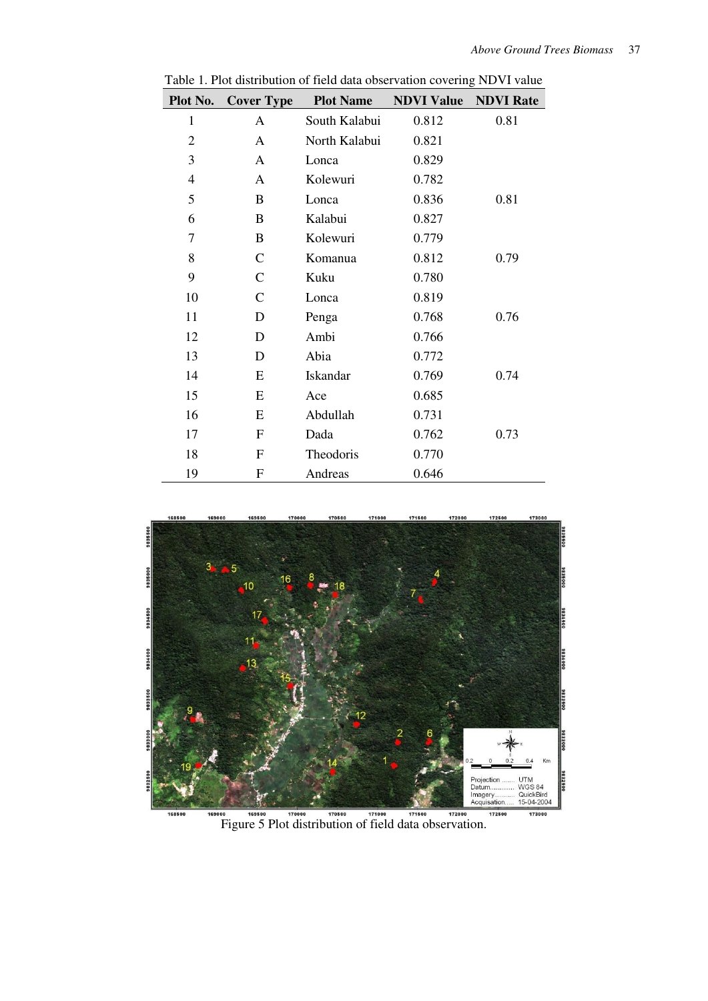| Plot No.       | <b>Cover Type</b> | <b>Plot Name</b> | <b>NDVI Value</b> | <b>NDVI Rate</b> |
|----------------|-------------------|------------------|-------------------|------------------|
| $\mathbf{1}$   | A                 | South Kalabui    | 0.812             | 0.81             |
| $\overline{2}$ | A                 | North Kalabui    | 0.821             |                  |
| 3              | A                 | Lonca            | 0.829             |                  |
| $\overline{4}$ | A                 | Kolewuri         | 0.782             |                  |
| 5              | B                 | Lonca            | 0.836             | 0.81             |
| 6              | B                 | Kalabui          | 0.827             |                  |
| 7              | B                 | Kolewuri         | 0.779             |                  |
| 8              | $\mathsf{C}$      | Komanua          | 0.812             | 0.79             |
| 9              | $\mathsf{C}$      | Kuku             | 0.780             |                  |
| 10             | $\mathsf{C}$      | Lonca            | 0.819             |                  |
| 11             | D                 | Penga            | 0.768             | 0.76             |
| 12             | D                 | Ambi             | 0.766             |                  |
| 13             | D                 | Abia             | 0.772             |                  |
| 14             | E                 | <b>Iskandar</b>  | 0.769             | 0.74             |
| 15             | E                 | Ace              | 0.685             |                  |
| 16             | E                 | Abdullah         | 0.731             |                  |
| 17             | F                 | Dada             | 0.762             | 0.73             |
| 18             | F                 | Theodoris        | 0.770             |                  |
| 19             | F                 | Andreas          | 0.646             |                  |

Table 1. Plot distribution of field data observation covering NDVI value



<sup>0000</sup> 109500 170000 170000 171000 171000 1771600 172800 172800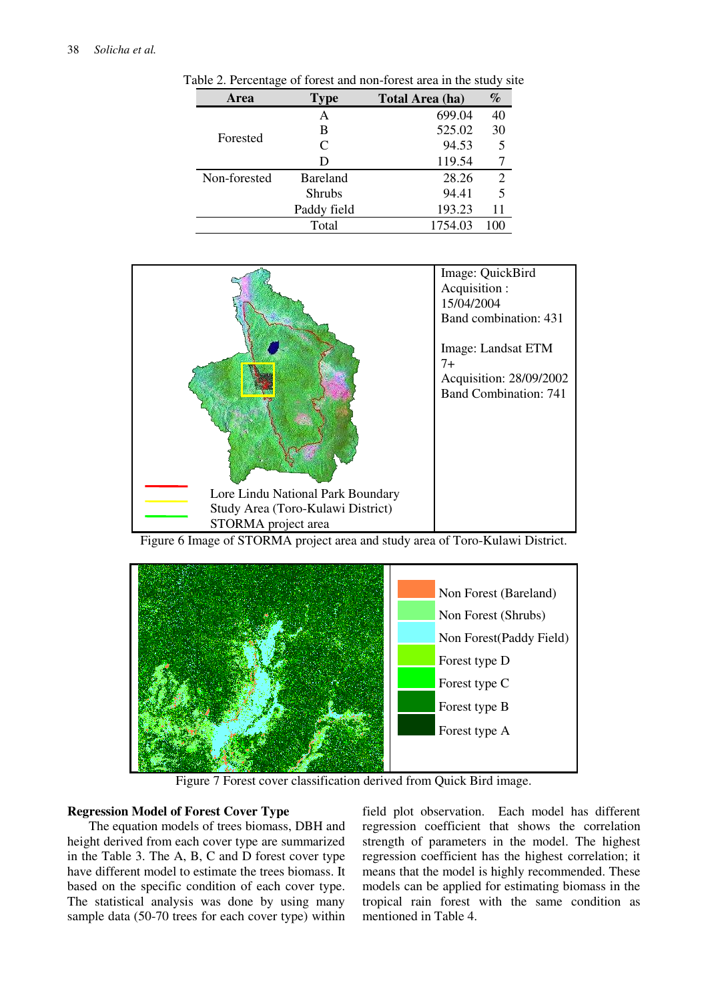| Area         | Type            | Total Area (ha) | $\%$           |
|--------------|-----------------|-----------------|----------------|
|              | А               | 699.04          | 40             |
|              | B               | 525.02          | 30             |
| Forested     | C               | 94.53           | 5              |
|              | D               | 119.54          |                |
| Non-forested | <b>Bareland</b> | 28.26           | $\overline{2}$ |
|              | <b>Shrubs</b>   | 94.41           | 5              |
|              | Paddy field     | 193.23          | 11             |
|              | Total           | 1754.03         | 100            |

Table 2. Percentage of forest and non-forest area in the study site



Figure 6 Image of STORMA project area and study area of Toro-Kulawi District.



Figure 7 Forest cover classification derived from Quick Bird image.

### **Regression Model of Forest Cover Type**

The equation models of trees biomass, DBH and height derived from each cover type are summarized in the Table 3. The A, B, C and D forest cover type have different model to estimate the trees biomass. It based on the specific condition of each cover type. The statistical analysis was done by using many sample data (50-70 trees for each cover type) within field plot observation. Each model has different regression coefficient that shows the correlation strength of parameters in the model. The highest regression coefficient has the highest correlation; it means that the model is highly recommended. These models can be applied for estimating biomass in the tropical rain forest with the same condition as mentioned in Table 4.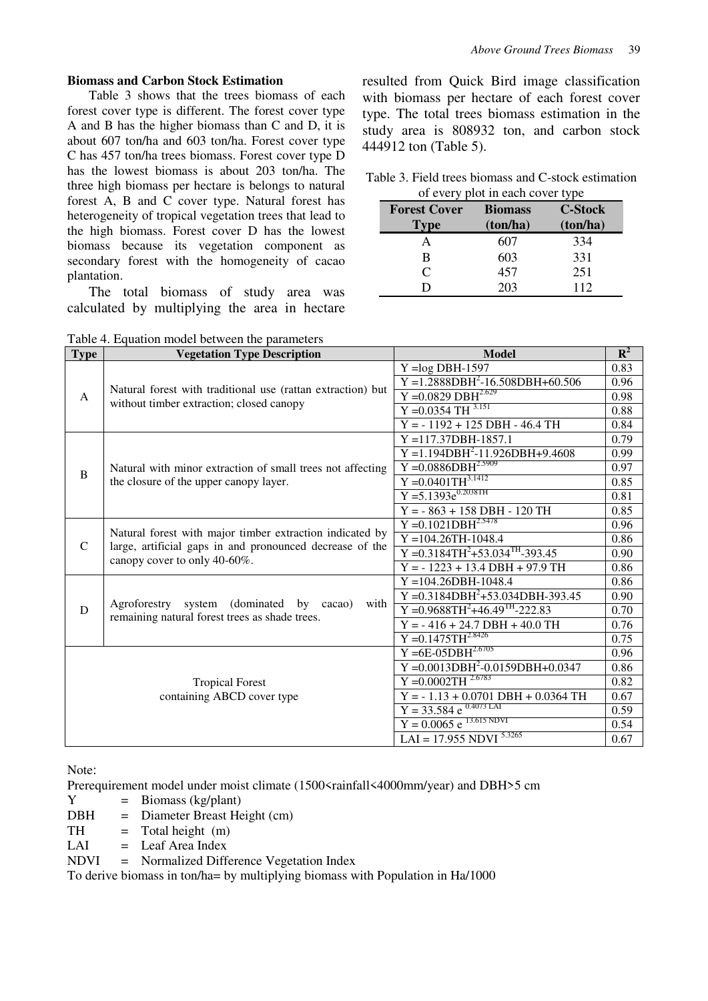#### **Biomass and Carbon Stock Estimation**

Table 3 shows that the trees biomass of each forest cover type is different. The forest cover type A and B has the higher biomass than C and D, it is about 607 ton/ha and 603 ton/ha. Forest cover type C has 457 ton/ha trees biomass. Forest cover type D has the lowest biomass is about 203 ton/ha. The three high biomass per hectare is belongs to natural forest A, B and C cover type. Natural forest has heterogeneity of tropical vegetation trees that lead to the high biomass. Forest cover D has the lowest biomass because its vegetation component as secondary forest with the homogeneity of cacao plantation.

The total biomass of study area was calculated by multiplying the area in hectare

Table 4. Equation model between the parameters

resulted from Quick Bird image classification with biomass per hectare of each forest cover type. The total trees biomass estimation in the study area is 808932 ton, and carbon stock 444912 ton (Table 5).

| Table 3. Field trees biomass and C-stock estimation |
|-----------------------------------------------------|
| of every plot in each cover type                    |

| <b>Forest Cover</b><br><b>Type</b> | <b>Biomass</b><br>(ton/ha) | <b>C-Stock</b><br>(ton/ha) |
|------------------------------------|----------------------------|----------------------------|
|                                    | 607                        | 334                        |
| в                                  | 603                        | 331                        |
| C                                  | 457                        | 251                        |
|                                    | 203                        | 112                        |

| <b>Type</b>   | <b>Vegetation Type Description</b>                                                                 | <b>Model</b>                                       | $\mathbf{R}^2$ |
|---------------|----------------------------------------------------------------------------------------------------|----------------------------------------------------|----------------|
|               |                                                                                                    | $Y = log DBH-1597$                                 | 0.83           |
|               |                                                                                                    | $Y = 1.2888DBH^2 - 16.508DBH + 60.506$             | 0.96           |
| $\mathsf{A}$  | Natural forest with traditional use (rattan extraction) but                                        | $Y = 0.0829$ DBH <sup>2.629</sup>                  | 0.98           |
|               | without timber extraction; closed canopy                                                           | $Y = 0.0354 \text{ TH}^{3.151}$                    | 0.88           |
|               |                                                                                                    | $Y = -1192 + 125$ DBH - 46.4 TH                    | 0.84           |
|               |                                                                                                    | $Y = 117.37DBH - 1857.1$                           | 0.79           |
|               |                                                                                                    | $Y = 1.194DBH2 - 11.926DBH + 9.4608$               | 0.99           |
| B             | Natural with minor extraction of small trees not affecting                                         | $Y = 0.0886DBH^{2.5909}$                           | 0.97           |
|               | the closure of the upper canopy layer.                                                             | $Y = 0.0401TH^{3.1412}$                            | 0.85           |
|               |                                                                                                    | $Y = 5.1393e^{0.2038TH}$                           | 0.81           |
|               |                                                                                                    | $Y = -863 + 158$ DBH - 120 TH                      | 0.85           |
|               |                                                                                                    | $Y = 0.1021DBH^{2.5478}$                           | 0.96           |
|               | Natural forest with major timber extraction indicated by                                           | $Y = 104.26TH - 1048.4$                            | 0.86           |
| $\mathcal{C}$ | large, artificial gaps in and pronounced decrease of the<br>canopy cover to only 40-60%.           | $Y = 0.3184TH^2 + 53.034TH - 393.45$               | 0.90           |
|               |                                                                                                    | $Y = -1223 + 13.4$ DBH + 97.9 TH                   | 0.86           |
|               |                                                                                                    | $Y = 104.26DBH - 1048.4$                           | 0.86           |
|               |                                                                                                    | $Y = 0.3184DBH^2 + 53.034DBH - 393.45$             | 0.90           |
| D             | Agroforestry system (dominated by cacao)<br>with<br>remaining natural forest trees as shade trees. | $Y = 0.9688TH^2 + 46.49TH - 222.83$                | 0.70           |
|               |                                                                                                    | $Y = -416 + 24.7$ DBH + 40.0 TH                    | 0.76           |
|               |                                                                                                    | $Y = 0.1475TH^{2.8426}$                            | 0.75           |
|               |                                                                                                    | $Y = 6E - 05DBH^{2.6705}$                          | 0.96           |
|               |                                                                                                    | $Y = 0.001 \overline{3DBH^2 - 0.0159DBH + 0.0347}$ | 0.86           |
|               | <b>Tropical Forest</b>                                                                             | $Y = 0.0002TH^{2.6783}$                            | 0.82           |
|               | containing ABCD cover type                                                                         | $Y = -1.13 + 0.0701$ DBH + 0.0364 TH               | 0.67           |
|               |                                                                                                    | $Y = 33.584$ e $^{0.4073}$ LAI                     | 0.59           |
|               |                                                                                                    | $Y = 0.0065$ e <sup>13.615</sup> NDVI              | 0.54           |
|               |                                                                                                    | LAI = $17.\overline{955}$ NDVI $5.3265$            | 0.67           |

Note:

Prerequirement model under moist climate (1500 <a>strainfall<a>(<a>4000mm/year) and DBH>5 cm

 $Y = \text{Biomass (kg/plant)}$ 

- DBH = Diameter Breast Height (cm)
- $TH = Total height$  (m)
- $LAI =$  Leaf Area Index

NDVI = Normalized Difference Vegetation Index

To derive biomass in ton/ha= by multiplying biomass with Population in Ha/1000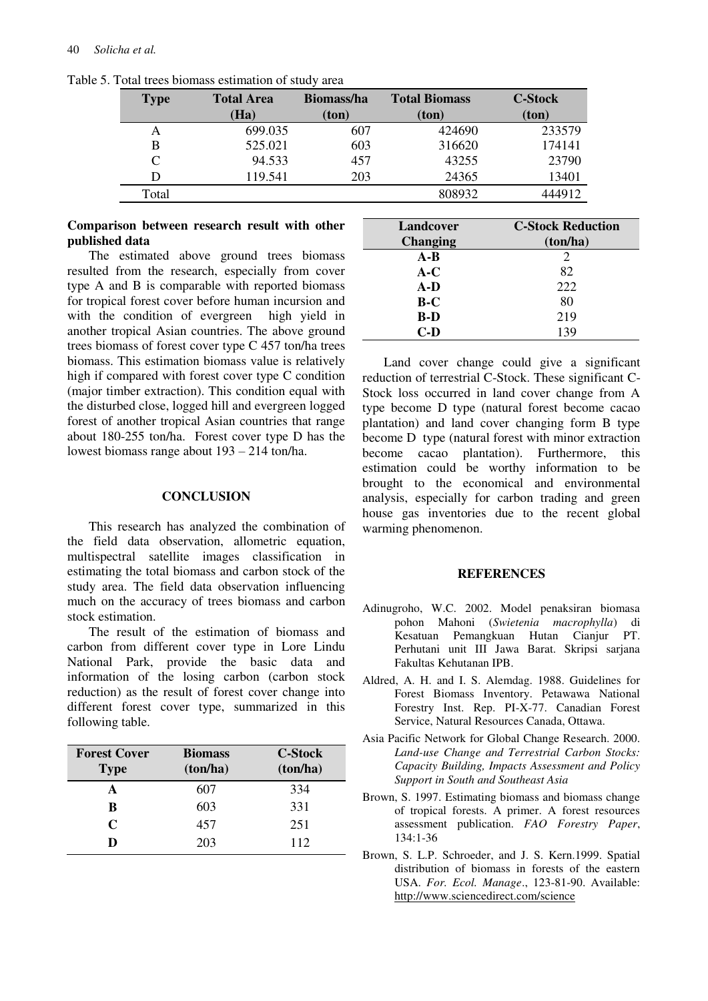| <b>Type</b> | <b>Total Area</b> | <b>Biomass/ha</b> | <b>Total Biomass</b> | <b>C-Stock</b> |
|-------------|-------------------|-------------------|----------------------|----------------|
|             | Ha)               | (ton)             | (ton)                | (ton)          |
| A           | 699.035           | 607               | 424690               | 233579         |
| B           | 525.021           | 603               | 316620               | 174141         |
| C           | 94.533            | 457               | 43255                | 23790          |
|             | 119.541           | 203               | 24365                | 13401          |
| Total       |                   |                   | 808932               | 444912         |

Table 5. Total trees biomass estimation of study area

### **Comparison between research result with other published data**

The estimated above ground trees biomass resulted from the research, especially from cover type A and B is comparable with reported biomass for tropical forest cover before human incursion and with the condition of evergreen high yield in another tropical Asian countries. The above ground trees biomass of forest cover type C 457 ton/ha trees biomass. This estimation biomass value is relatively high if compared with forest cover type C condition (major timber extraction). This condition equal with the disturbed close, logged hill and evergreen logged forest of another tropical Asian countries that range about 180-255 ton/ha. Forest cover type D has the lowest biomass range about 193 – 214 ton/ha.

#### **CONCLUSION**

This research has analyzed the combination of the field data observation, allometric equation, multispectral satellite images classification in estimating the total biomass and carbon stock of the study area. The field data observation influencing much on the accuracy of trees biomass and carbon stock estimation.

The result of the estimation of biomass and carbon from different cover type in Lore Lindu National Park, provide the basic data and information of the losing carbon (carbon stock reduction) as the result of forest cover change into different forest cover type, summarized in this following table.

| <b>Forest Cover</b><br><b>Type</b> | <b>Biomass</b><br>(ton/ha) | <b>C-Stock</b><br>(ton/ha) |
|------------------------------------|----------------------------|----------------------------|
| A                                  | 607                        | 334                        |
| R                                  | 603                        | 331                        |
| $\mathsf{C}$                       | 457                        | 251                        |
| D                                  | 203                        | 112                        |

| Landcover       | <b>C-Stock Reduction</b>    |
|-----------------|-----------------------------|
| <b>Changing</b> | (ton/ha)                    |
| $A-B$           | $\mathcal{D}_{\mathcal{A}}$ |
| $A-C$           | 82                          |
| A-D             | 222                         |
| $B-C$           | 80                          |
| B-D             | 219                         |
| C-D             | 139                         |

Land cover change could give a significant reduction of terrestrial C-Stock. These significant C-Stock loss occurred in land cover change from A type become D type (natural forest become cacao plantation) and land cover changing form B type become D type (natural forest with minor extraction become cacao plantation). Furthermore, this estimation could be worthy information to be brought to the economical and environmental analysis, especially for carbon trading and green house gas inventories due to the recent global warming phenomenon.

#### **REFERENCES**

- Adinugroho, W.C. 2002. Model penaksiran biomasa pohon Mahoni (*Swietenia macrophylla*) di Kesatuan Pemangkuan Hutan Cianjur PT. Perhutani unit III Jawa Barat. Skripsi sarjana Fakultas Kehutanan IPB.
- Aldred, A. H. and I. S. Alemdag. 1988. Guidelines for Forest Biomass Inventory. Petawawa National Forestry Inst. Rep. PI-X-77. Canadian Forest Service, Natural Resources Canada, Ottawa.
- Asia Pacific Network for Global Change Research. 2000. *Land-use Change and Terrestrial Carbon Stocks: Capacity Building, Impacts Assessment and Policy Support in South and Southeast Asia*
- Brown, S. 1997. Estimating biomass and biomass change of tropical forests. A primer. A forest resources assessment publication. *FAO Forestry Paper*, 134:1-36
- Brown, S. L.P. Schroeder, and J. S. Kern.1999. Spatial distribution of biomass in forests of the eastern USA. *For. Ecol. Manage*., 123-81-90. Available: http://www.sciencedirect.com/science